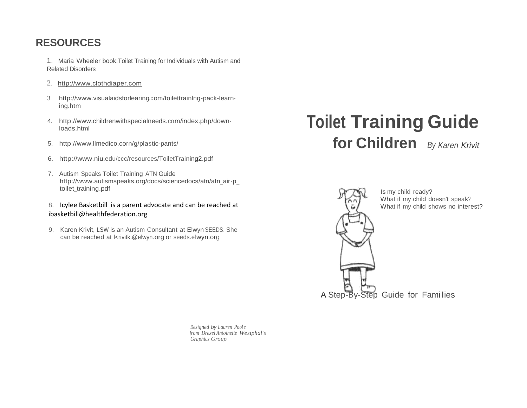### **RESOURCES**

- 1. Maria Wheeler book:Toilet Training for Individuals with Autism and Related Disorders
- 2. http://www.clothdiaper.com
- 3. <http://www.visualaidsforlearing.com/toilettrainlng-pack-learn>ing.htm
- 4. <http://www.childrenwithspecialneeds.com/index.php/down>loads.html
- 5. <http://www.llmedico.corn/g/plastic-pants/>
- 6. <http://www.niu.edu/ccc/resources/ToiletTraining2.pdf>
- 7. Autism Speaks Toilet Training ATN Guide [http://www.autismspeaks.org/docs/sciencedocs/atn/atn\\_air-p\\_](http://www.autismspeaks.org/docs/sciencedocs/atn/atn_air-p_)  toilet\_training.pdf
- 8. Icylee Basketbill is a parent advocate and can be reached at ibasketbill@healthfederation.org
- 9. Karen Krivit, LSW is an Autism Consultant at Elwyn SEEDS. She can be reached at krivitk.@elwyn.org or seeds.elwyn.org

# **Toilet Training Guide for Children** *By Karen Krivit*



*Designed by Lauren Pool e from Drexel Antoinette Westphal's Graphics Group*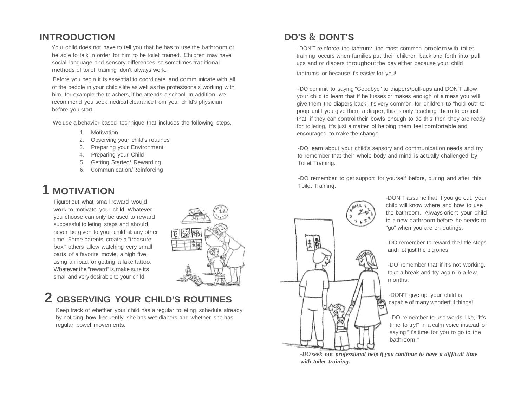### **INTRODUCTION DO'S** &**DONT'S**

Your child does not have to tell you that he has to use the bathroom or be able to talk in order for him to be toilet trained. Children may have social. language and sensory differences so sometimes traditional methods of toilet training don't always work.

Before you begin it is essential to coordinate and communicate with all of the people in your child's life as well as the professionals working with him, for example the te achers, if he attends a school. In addition, we recommend you seek medical clearance from your child's physician before you start.

We use a behavior-based technique that includes the following steps.

- 1. Motivation
- 2. Observing your child's routines
- 3. Preparing your Environment
- 4. Preparing your Child
- 5. Getting Started/ Rewarding
- 6. Communication/Reinforcing

### **1 MOTIVATION**

Figure! out what small reward would work to motivate your child. Whatever you choose can only be used to reward successful toileting steps and should never be given to your child at: any other time. Some parents create a "treasure box", others allow watching very small parts of a favorite movie, a high five, using an ipad, or getting a fake tattoo. Whatever the "reward" is, make sure its small and very desirable to your child.



## **2 OBSERVING YOUR CHILD'S ROUTINES**

Keep track of whether your child has a regular toileting schedule already by noticing how frequently she has wet diapers and whether she has regular bowel movements.

-DON'T reinforce the tantrum: the most common problem with toilet training occurs when families put their children back and forth into pull ups and or diapers throughout the day either because your child

tantrums or because it's easier for you!

-DO commit to saying "Goodbye" to diapers/pull-ups and DON'T allow your child to learn that if he fusses or makes enough of a mess you will give them the diapers back. It's very common for children to "hold out" to poop until you give them a diaper; this is only teaching them to do just that; if they can control their bowls enough to do this then they are ready for toileting, it's just a matter of helping them feel comfortable and encouraged to make the change!

-DO learn about your child's sensory and communication needs and try to remember that their whole body and mind is actually challenged by Toilet Training.

-DO remember to get support for yourself before, during and after this Toilet Training.



-DON'T assume that if you go out, your child will know where and how to use the bathroom. Always orient your child to a new bathroom before he needs to "go" when you are on outings.

-DO remember to reward the little steps and not just the big ones.

-DO remember that if it's not working, take a break and try again in a few months.

-DON'T give up, your child is capable of many wonderful things!

-DO remember to use words like, "It's time to try!" in a calm voice instead of saying "It's time for you to go to the bathroom."

*-DO seek* **out** *professional help if you continue to have a difficult time with toilet training.*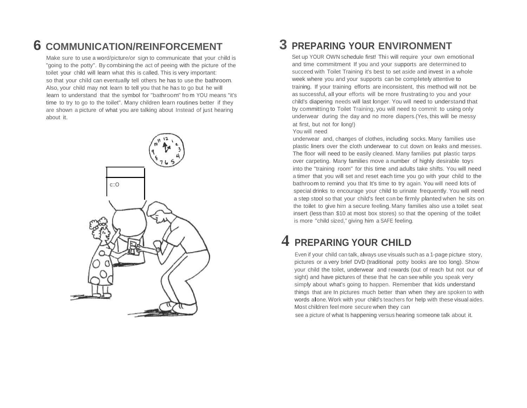## **6 COMMUNICATION/REINFORCEMENT 3 PREPARING YOUR ENVIRONMENT**

Make sure to use a word/picture/or sign to communicate that your child is "going to the potty''. By combining the act of peeing with the picture of the toilet your child will learn what this is called. This is very important: so that your child can eventually tell others he has to use the bathroom. Also, your child may not learn to tell you that he has to go but he will learn to understand that the symbol for "bathroom" fro m YOU means "it's time to try to go to the toilet". Many children learn routines better if they are shown a picture of what you are talking about Instead of just hearing about it.



Set up YOUR OWN schedule first! This will require your own emotional and time commitment If you and your supports are determined to succeed with Toilet Training it's best to set aside and invest in a whole week where you and your supports can be completely attentive to training. If your training efforts are inconsistent, this method will not be as successful, all your efforts will be rnore frustrating to you and your child's diapering needs will last longer. You will need to understand that by committing to Toilet Training, you will need to commit to using only underwear during the day and no more diapers.(Yes, this will be messy at first, but not for long!)

### You will need

underwear and, changes of clothes, including socks. Many families use plastic liners over the cloth underwear to cut down on leaks and messes. The floor will need to be easily cleaned. Many families put plastic tarps over carpeting. Many families move a number of highly desirable toys into the "training room" for this time and adults take shifts. You will need a timer that you will set and reset each time you go with your child to the bathroom to remind you that It's time to try again. You will need lots of special drinks to encourage your child to urinate frequently. You will need a step stool so that your child's feet can be firmly planted when he sits on the toilet to give him <sup>a</sup> secure feeling.Many families also use <sup>a</sup> toilet seat insert (less than \$10 at most box stores) so that the opening of the toilet is more "child sized," giving him a SAFE feeling.

### **4 PREPARING YOUR CHILD**

Even if your child can talk, always use visuals such as a 1-page picture story, pictures or a very brief DVD (traditional potty books are too long). Show your child the toilet, underwear and rewards (out of reach but not our of sight) and have pictures of these that he can see while you speak very simply about what's going to happen. Remember that kids understand things that are In pictures much better than when they are spoken to with words alone.Work with your child's teachers for help with these visual aides. Most children feel more secure when they can

see a picture of what Is happening versus hearing someone talk about it.